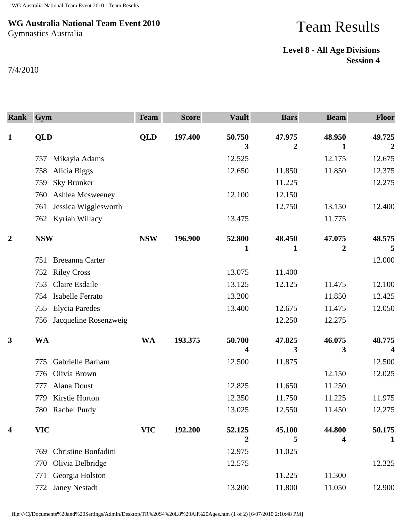## **WG Australia National Team Event 2010** Gymnastics Australia

## Team Results

## **Level 8 - All Age Divisions Session 4**

7/4/2010

| <b>Rank</b>             | Gym                          | <b>Team</b> | <b>Score</b> | <b>Vault</b> | <b>Bars</b>              | <b>Beam</b> | <b>Floor</b> |
|-------------------------|------------------------------|-------------|--------------|--------------|--------------------------|-------------|--------------|
| $\mathbf{1}$            | <b>QLD</b>                   | <b>QLD</b>  | 197.400      | 50.750<br>3  | 47.975<br>$\overline{2}$ | 48.950<br>1 | 49.725<br>2  |
|                         | Mikayla Adams<br>757         |             |              | 12.525       |                          | 12.175      | 12.675       |
|                         | Alicia Biggs<br>758          |             |              | 12.650       | 11.850                   | 11.850      | 12.375       |
|                         | <b>Sky Brunker</b><br>759    |             |              |              | 11.225                   |             | 12.275       |
|                         | Ashlea Mcsweeney<br>760      |             |              | 12.100       | 12.150                   |             |              |
|                         | Jessica Wigglesworth<br>761  |             |              |              | 12.750                   | 13.150      | 12.400       |
|                         | Kyriah Willacy<br>762        |             |              | 13.475       |                          | 11.775      |              |
| $\overline{2}$          | <b>NSW</b>                   | <b>NSW</b>  | 196.900      | 52.800<br>1  | 48.450<br>1              | 47.075<br>2 | 48.575<br>5  |
|                         | Breeanna Carter<br>751       |             |              |              |                          |             | 12.000       |
|                         | <b>Riley Cross</b><br>752    |             |              | 13.075       | 11.400                   |             |              |
|                         | Claire Esdaile<br>753        |             |              | 13.125       | 12.125                   | 11.475      | 12.100       |
|                         | Isabelle Ferrato<br>754      |             |              | 13.200       |                          | 11.850      | 12.425       |
|                         | <b>Elycia Paredes</b><br>755 |             |              | 13.400       | 12.675                   | 11.475      | 12.050       |
|                         | Jacqueline Rosenzweig<br>756 |             |              |              | 12.250                   | 12.275      |              |
| $\mathbf{3}$            | <b>WA</b>                    | <b>WA</b>   | 193.375      | 50.700<br>4  | 47.825<br>3              | 46.075<br>3 | 48.775<br>4  |
|                         | Gabrielle Barham<br>775      |             |              | 12.500       | 11.875                   |             | 12.500       |
|                         | Olivia Brown<br>776          |             |              |              |                          | 12.150      | 12.025       |
|                         | Alana Doust<br>777           |             |              | 12.825       | 11.650                   | 11.250      |              |
|                         | Kirstie Horton<br>779        |             |              | 12.350       | 11.750                   | 11.225      | 11.975       |
|                         | 780 Rachel Purdy             |             |              | 13.025       | 12.550                   | 11.450      | 12.275       |
| $\overline{\mathbf{4}}$ | <b>VIC</b>                   | <b>VIC</b>  | 192.200      | 52.125<br>2  | 45.100<br>5              | 44.800<br>4 | 50.175<br>1  |
|                         | Christine Bonfadini<br>769   |             |              | 12.975       | 11.025                   |             |              |
|                         | Olivia Delbridge<br>770      |             |              | 12.575       |                          |             | 12.325       |
|                         | Georgia Holston<br>771       |             |              |              | 11.225                   | 11.300      |              |
|                         | <b>Janey Nestadt</b><br>772  |             |              | 13.200       | 11.800                   | 11.050      | 12.900       |

file:///C|/Documents%20and%20Settings/Admin/Desktop/TR%20S4%20L8%20All%20Ages.htm (1 of 2) [6/07/2010 2:10:48 PM]